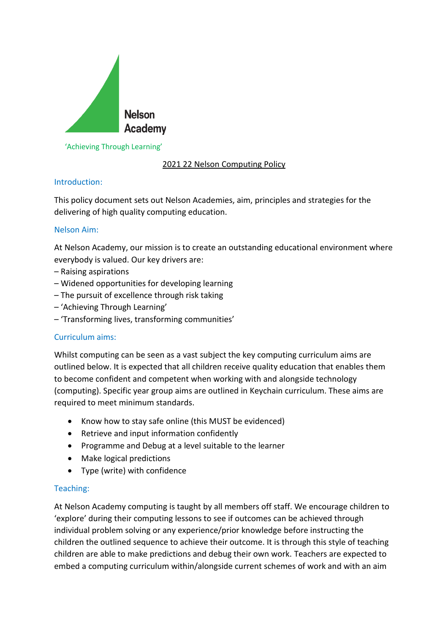

### 'Achieving Through Learning'

# 2021 22 Nelson Computing Policy

## Introduction:

This policy document sets out Nelson Academies, aim, principles and strategies for the delivering of high quality computing education.

## Nelson Aim:

At Nelson Academy, our mission is to create an outstanding educational environment where everybody is valued. Our key drivers are:

- Raising aspirations
- Widened opportunities for developing learning
- The pursuit of excellence through risk taking
- 'Achieving Through Learning'
- 'Transforming lives, transforming communities'

### Curriculum aims:

Whilst computing can be seen as a vast subject the key computing curriculum aims are outlined below. It is expected that all children receive quality education that enables them to become confident and competent when working with and alongside technology (computing). Specific year group aims are outlined in Keychain curriculum. These aims are required to meet minimum standards.

- Know how to stay safe online (this MUST be evidenced)
- Retrieve and input information confidently
- Programme and Debug at a level suitable to the learner
- Make logical predictions
- Type (write) with confidence

### Teaching:

At Nelson Academy computing is taught by all members off staff. We encourage children to 'explore' during their computing lessons to see if outcomes can be achieved through individual problem solving or any experience/prior knowledge before instructing the children the outlined sequence to achieve their outcome. It is through this style of teaching children are able to make predictions and debug their own work. Teachers are expected to embed a computing curriculum within/alongside current schemes of work and with an aim